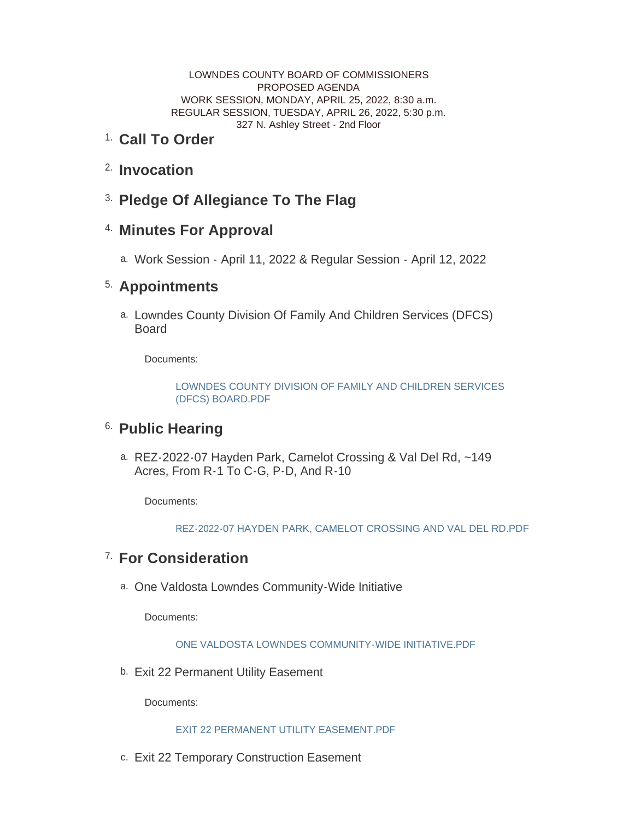LOWNDES COUNTY BOARD OF COMMISSIONERS PROPOSED AGENDA WORK SESSION, MONDAY, APRIL 25, 2022, 8:30 a.m. REGULAR SESSION, TUESDAY, APRIL 26, 2022, 5:30 p.m. 327 N. Ashley Street - 2nd Floor

### <sup>1.</sup> Call To Order

- <sup>2.</sup> Invocation
- **Pledge Of Allegiance To The Flag** 3.

## **Minutes For Approval** 4.

Work Session - April 11, 2022 & Regular Session - April 12, 2022 a.

## **Appointments** 5.

a. Lowndes County Division Of Family And Children Services (DFCS) **Board** 

Documents:

[LOWNDES COUNTY DIVISION OF FAMILY AND CHILDREN SERVICES](http://www.lowndescounty.com/AgendaCenter/ViewFile/Item/3509?fileID=4068)  (DFCS) BOARD.PDF

## <sup>6.</sup> Public Hearing

REZ-2022-07 Hayden Park, Camelot Crossing & Val Del Rd, ~149 a. Acres, From R-1 To C-G, P-D, And R-10

Documents:

[REZ-2022-07 HAYDEN PARK, CAMELOT CROSSING AND VAL DEL RD.PDF](http://www.lowndescounty.com/AgendaCenter/ViewFile/Item/3508?fileID=4066)

## **For Consideration** 7.

One Valdosta Lowndes Community-Wide Initiative a.

Documents:

[ONE VALDOSTA LOWNDES COMMUNITY-WIDE INITIATIVE.PDF](http://www.lowndescounty.com/AgendaCenter/ViewFile/Item/3507?fileID=4065)

b. Exit 22 Permanent Utility Easement

Documents:

### [EXIT 22 PERMANENT UTILITY EASEMENT.PDF](http://www.lowndescounty.com/AgendaCenter/ViewFile/Item/3500?fileID=4058)

c. Exit 22 Temporary Construction Easement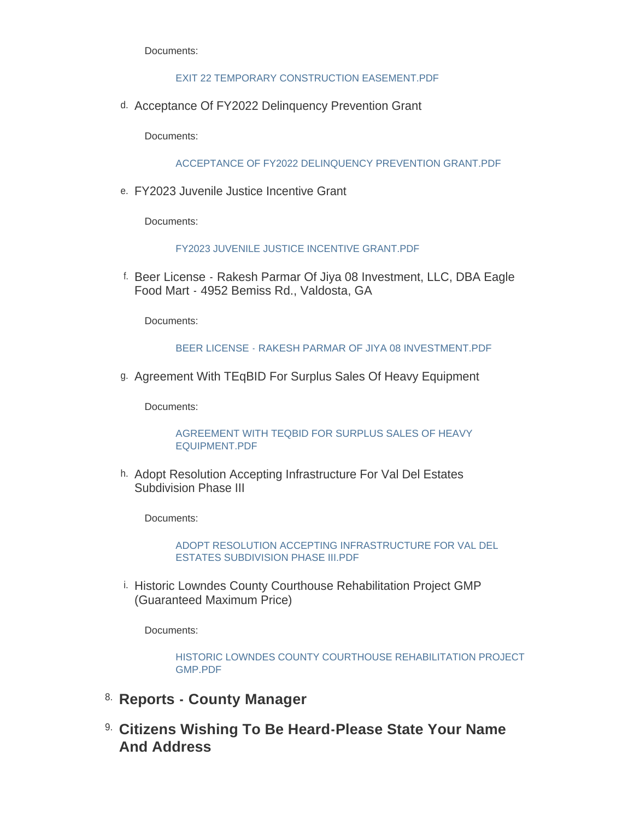Documents:

#### [EXIT 22 TEMPORARY CONSTRUCTION EASEMENT.PDF](http://www.lowndescounty.com/AgendaCenter/ViewFile/Item/3501?fileID=4059)

d. Acceptance Of FY2022 Delinquency Prevention Grant

Documents:

[ACCEPTANCE OF FY2022 DELINQUENCY PREVENTION GRANT.PDF](http://www.lowndescounty.com/AgendaCenter/ViewFile/Item/3502?fileID=4060)

FY2023 Juvenile Justice Incentive Grant e.

Documents:

### [FY2023 JUVENILE JUSTICE INCENTIVE GRANT.PDF](http://www.lowndescounty.com/AgendaCenter/ViewFile/Item/3505?fileID=4063)

f. Beer License - Rakesh Parmar Of Jiya 08 Investment, LLC, DBA Eagle Food Mart - 4952 Bemiss Rd., Valdosta, GA

Documents:

### [BEER LICENSE - RAKESH PARMAR OF JIYA 08 INVESTMENT.PDF](http://www.lowndescounty.com/AgendaCenter/ViewFile/Item/3503?fileID=4061)

Agreement With TEqBID For Surplus Sales Of Heavy Equipment g.

Documents:

[AGREEMENT WITH TEQBID FOR SURPLUS SALES OF HEAVY](http://www.lowndescounty.com/AgendaCenter/ViewFile/Item/3504?fileID=4062)  EQUIPMENT.PDF

h. Adopt Resolution Accepting Infrastructure For Val Del Estates Subdivision Phase III

Documents:

[ADOPT RESOLUTION ACCEPTING INFRASTRUCTURE FOR VAL DEL](http://www.lowndescounty.com/AgendaCenter/ViewFile/Item/3506?fileID=4064)  ESTATES SUBDIVISION PHASE III.PDF

i. Historic Lowndes County Courthouse Rehabilitation Project GMP (Guaranteed Maximum Price)

Documents:

[HISTORIC LOWNDES COUNTY COURTHOUSE REHABILITATION PROJECT](http://www.lowndescounty.com/AgendaCenter/ViewFile/Item/3510?fileID=4069)  GMP.PDF

- 8. Reports County Manager
- **Citizens Wishing To Be Heard-Please State Your Name**  9. **And Address**